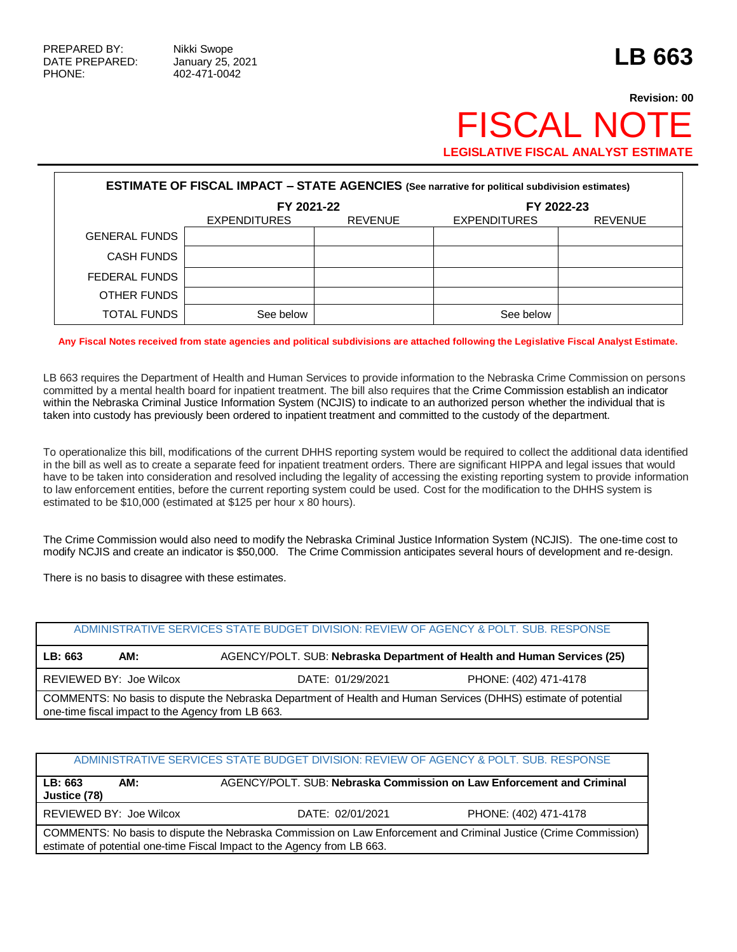## **Revision: 00 FISCAL NOT LEGISLATIVE FISCAL ANALYST ESTIMATE**

| <b>ESTIMATE OF FISCAL IMPACT - STATE AGENCIES (See narrative for political subdivision estimates)</b> |                                                     |  |                     |                |  |  |
|-------------------------------------------------------------------------------------------------------|-----------------------------------------------------|--|---------------------|----------------|--|--|
|                                                                                                       | FY 2021-22<br><b>REVENUE</b><br><b>EXPENDITURES</b> |  | FY 2022-23          |                |  |  |
|                                                                                                       |                                                     |  | <b>EXPENDITURES</b> | <b>REVENUE</b> |  |  |
| <b>GENERAL FUNDS</b>                                                                                  |                                                     |  |                     |                |  |  |
| <b>CASH FUNDS</b>                                                                                     |                                                     |  |                     |                |  |  |
| FEDERAL FUNDS                                                                                         |                                                     |  |                     |                |  |  |
| OTHER FUNDS                                                                                           |                                                     |  |                     |                |  |  |
| TOTAL FUNDS                                                                                           | See below                                           |  | See below           |                |  |  |

**Any Fiscal Notes received from state agencies and political subdivisions are attached following the Legislative Fiscal Analyst Estimate.**

LB 663 requires the Department of Health and Human Services to provide information to the Nebraska Crime Commission on persons committed by a mental health board for inpatient treatment. The bill also requires that the Crime Commission establish an indicator within the Nebraska Criminal Justice Information System (NCJIS) to indicate to an authorized person whether the individual that is taken into custody has previously been ordered to inpatient treatment and committed to the custody of the department.

To operationalize this bill, modifications of the current DHHS reporting system would be required to collect the additional data identified in the bill as well as to create a separate feed for inpatient treatment orders. There are significant HIPPA and legal issues that would have to be taken into consideration and resolved including the legality of accessing the existing reporting system to provide information to law enforcement entities, before the current reporting system could be used. Cost for the modification to the DHHS system is estimated to be \$10,000 (estimated at \$125 per hour x 80 hours).

The Crime Commission would also need to modify the Nebraska Criminal Justice Information System (NCJIS). The one-time cost to modify NCJIS and create an indicator is \$50,000. The Crime Commission anticipates several hours of development and re-design.

There is no basis to disagree with these estimates.

| ADMINISTRATIVE SERVICES STATE BUDGET DIVISION: REVIEW OF AGENCY & POLT. SUB. RESPONSE                                                                                |     |                                                                         |  |  |  |
|----------------------------------------------------------------------------------------------------------------------------------------------------------------------|-----|-------------------------------------------------------------------------|--|--|--|
|                                                                                                                                                                      |     |                                                                         |  |  |  |
| LB: 663                                                                                                                                                              | AM: | AGENCY/POLT. SUB: Nebraska Department of Health and Human Services (25) |  |  |  |
| REVIEWED BY: Joe Wilcox<br>PHONE: (402) 471-4178<br>DATE: 01/29/2021                                                                                                 |     |                                                                         |  |  |  |
| COMMENTS: No basis to dispute the Nebraska Department of Health and Human Services (DHHS) estimate of potential<br>one-time fiscal impact to the Agency from LB 663. |     |                                                                         |  |  |  |

| ADMINISTRATIVE SERVICES STATE BUDGET DIVISION: REVIEW OF AGENCY & POLT. SUB. RESPONSE                                                                                                       |                  |                                                                       |  |  |  |
|---------------------------------------------------------------------------------------------------------------------------------------------------------------------------------------------|------------------|-----------------------------------------------------------------------|--|--|--|
| LB: 663<br>AM:<br>Justice (78)                                                                                                                                                              |                  | AGENCY/POLT. SUB: Nebraska Commission on Law Enforcement and Criminal |  |  |  |
| REVIEWED BY: Joe Wilcox                                                                                                                                                                     | DATE: 02/01/2021 | PHONE: (402) 471-4178                                                 |  |  |  |
| COMMENTS: No basis to dispute the Nebraska Commission on Law Enforcement and Criminal Justice (Crime Commission)<br>estimate of potential one-time Fiscal Impact to the Agency from LB 663. |                  |                                                                       |  |  |  |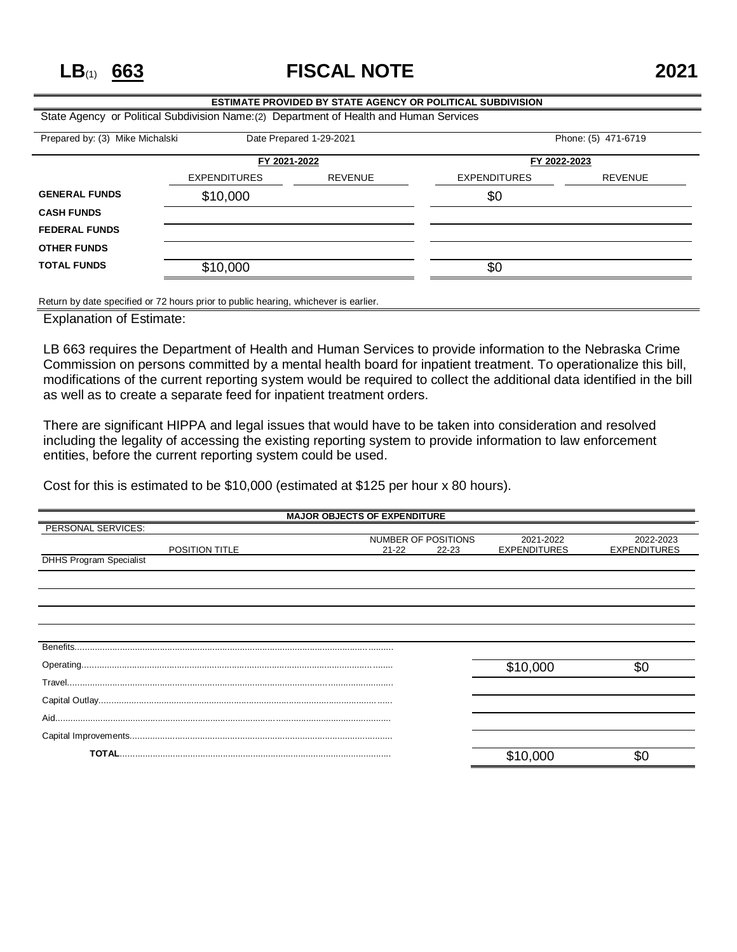**LB**(1) **663 FISCAL NOTE 2021**

| <b>ESTIMATE PROVIDED BY STATE AGENCY OR POLITICAL SUBDIVISION</b>                       |                     |                |                     |                |  |
|-----------------------------------------------------------------------------------------|---------------------|----------------|---------------------|----------------|--|
| State Agency or Political Subdivision Name: (2) Department of Health and Human Services |                     |                |                     |                |  |
| Phone: (5) 471-6719<br>Prepared by: (3) Mike Michalski<br>Date Prepared 1-29-2021       |                     |                |                     |                |  |
|                                                                                         | FY 2021-2022        |                | FY 2022-2023        |                |  |
|                                                                                         | <b>EXPENDITURES</b> | <b>REVENUE</b> | <b>EXPENDITURES</b> | <b>REVENUE</b> |  |
| <b>GENERAL FUNDS</b>                                                                    | \$10,000            |                | \$0                 |                |  |
| <b>CASH FUNDS</b>                                                                       |                     |                |                     |                |  |
| <b>FEDERAL FUNDS</b>                                                                    |                     |                |                     |                |  |
| <b>OTHER FUNDS</b>                                                                      |                     |                |                     |                |  |
| <b>TOTAL FUNDS</b>                                                                      | \$10,000            |                | \$0                 |                |  |
|                                                                                         |                     |                |                     |                |  |

Return by date specified or 72 hours prior to public hearing, whichever is earlier.

Explanation of Estimate:

LB 663 requires the Department of Health and Human Services to provide information to the Nebraska Crime Commission on persons committed by a mental health board for inpatient treatment. To operationalize this bill, modifications of the current reporting system would be required to collect the additional data identified in the bill as well as to create a separate feed for inpatient treatment orders.

There are significant HIPPA and legal issues that would have to be taken into consideration and resolved including the legality of accessing the existing reporting system to provide information to law enforcement entities, before the current reporting system could be used.

Cost for this is estimated to be \$10,000 (estimated at \$125 per hour x 80 hours).

| <b>MAJOR OBJECTS OF EXPENDITURE</b> |                     |           |                     |                     |
|-------------------------------------|---------------------|-----------|---------------------|---------------------|
| PERSONAL SERVICES:                  |                     |           |                     |                     |
|                                     | NUMBER OF POSITIONS |           | 2021-2022           | 2022-2023           |
| POSITION TITLE                      | $21 - 22$           | $22 - 23$ | <b>EXPENDITURES</b> | <b>EXPENDITURES</b> |
| <b>DHHS Program Specialist</b>      |                     |           |                     |                     |
|                                     |                     |           |                     |                     |
|                                     |                     |           |                     |                     |
|                                     |                     |           |                     |                     |
|                                     |                     |           |                     |                     |
|                                     |                     |           |                     |                     |
|                                     |                     |           |                     |                     |
| Benefits.                           |                     |           |                     |                     |
|                                     |                     |           |                     |                     |
|                                     |                     |           | \$10,000            | \$0                 |
|                                     |                     |           |                     |                     |
|                                     |                     |           |                     |                     |
|                                     |                     |           |                     |                     |
|                                     |                     |           |                     |                     |
|                                     |                     |           |                     |                     |
|                                     |                     |           |                     |                     |
|                                     |                     |           | \$10,000            | \$C                 |
|                                     |                     |           |                     |                     |